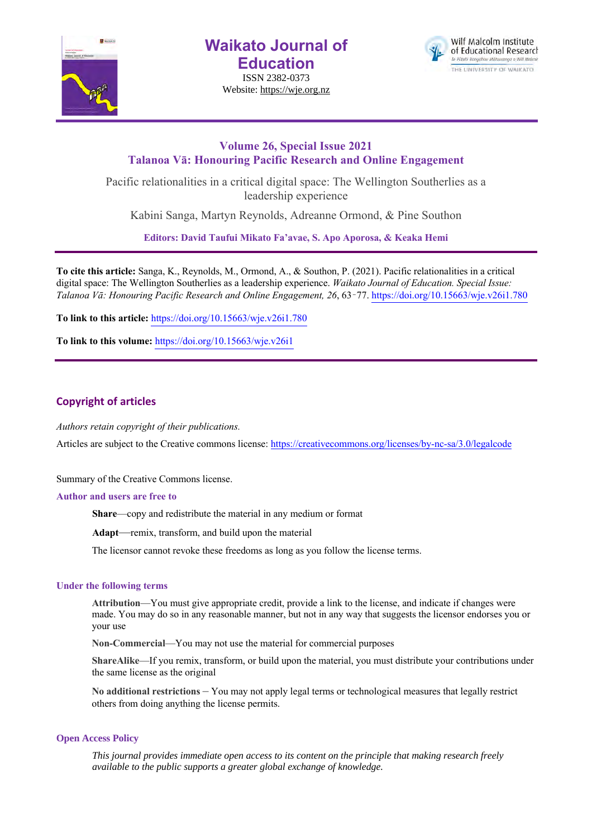

**Waikato Journal of Education**

ISSN 2382-0373 Website: https://wje.org.nz



# **Volume 26, Special Issue 2021 Talanoa Vā: Honouring Pacific Research and Online Engagement**

Pacific relationalities in a critical digital space: The Wellington Southerlies as a leadership experience

Kabini Sanga, Martyn Reynolds, Adreanne Ormond, & Pine Southon

**Editors: David Taufui Mikato Fa'avae, S. Apo Aporosa, & Keaka Hemi**

**To cite this article:** Sanga, K., Reynolds, M., Ormond, A., & Southon, P. (2021). Pacific relationalities in a critical digital space: The Wellington Southerlies as a leadership experience. *Waikato Journal of Education. Special Issue: Talanoa Vā: Honouring Pacific Research and Online Engagement, 26*, 63–77. https://doi.org/10.15663/wje.v26i1.780

**To link to this article:** https://doi.org/10.15663/wje.v26i1.780

**To link to this volume:** https://doi.org/10.15663/wje.v26i1

## **Copyright of articles**

*Authors retain copyright of their publications.*

Articles are subject to the Creative commons license: https://creativecommons.org/licenses/by-nc-sa/3.0/legalcode

Summary of the Creative Commons license.

#### **Author and users are free to**

**Share**—copy and redistribute the material in any medium or format

**Adapt**—remix, transform, and build upon the material

The licensor cannot revoke these freedoms as long as you follow the license terms.

#### **Under the following terms**

**Attribution**—You must give appropriate credit, provide a link to the license, and indicate if changes were made. You may do so in any reasonable manner, but not in any way that suggests the licensor endorses you or your use

**Non-Commercial**—You may not use the material for commercial purposes

**ShareAlike**—If you remix, transform, or build upon the material, you must distribute your contributions under the same license as the original

**No additional restrictions** – You may not apply legal terms or technological measures that legally restrict others from doing anything the license permits.

#### **Open Access Policy**

*This journal provides immediate open access to its content on the principle that making research freely available to the public supports a greater global exchange of knowledge.*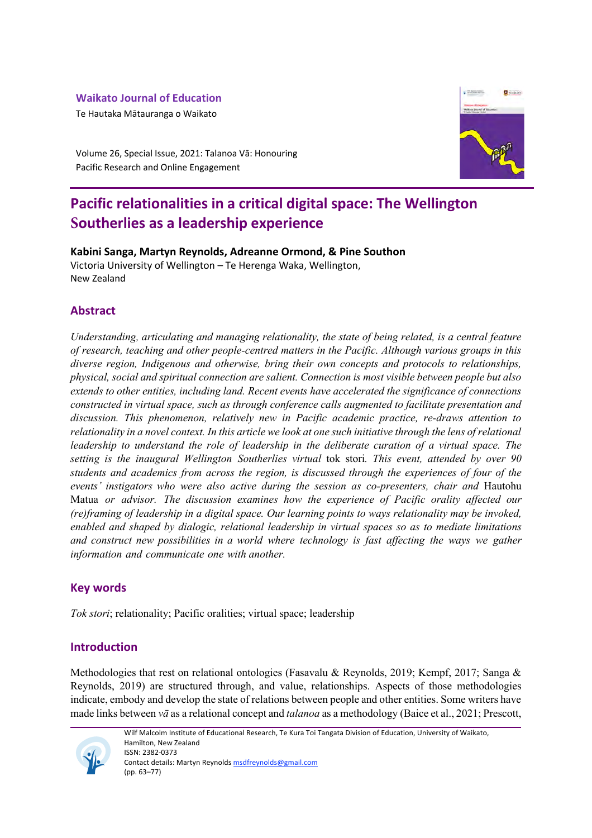# **Waikato Journal of Education**

Te Hautaka Mātauranga o Waikato



Volume 26, Special Issue, 2021: Talanoa Vā: Honouring Pacific Research and Online Engagement

# **Pacific relationalities in a critical digital space: The Wellington Southerlies as a leadership experience**

**Kabini Sanga, Martyn Reynolds, Adreanne Ormond, & Pine Southon** Victoria University of Wellington – Te Herenga Waka, Wellington, New Zealand

# **Abstract**

*Understanding, articulating and managing relationality, the state of being related, is a central feature of research, teaching and other people-centred matters in the Pacific. Although various groups in this diverse region, Indigenous and otherwise, bring their own concepts and protocols to relationships, physical, social and spiritual connection are salient. Connection is most visible between people but also extends to other entities, including land. Recent events have accelerated the significance of connections constructed in virtual space, such as through conference calls augmented to facilitate presentation and discussion. This phenomenon, relatively new in Pacific academic practice, re-draws attention to relationality in a novel context. In this article we look at one such initiative through the lens of relational leadership to understand the role of leadership in the deliberate curation of a virtual space. The setting is the inaugural Wellington Southerlies virtual* tok stori*. This event, attended by over 90 students and academics from across the region, is discussed through the experiences of four of the events' instigators who were also active during the session as co-presenters, chair and* Hautohu Matua *or advisor. The discussion examines how the experience of Pacific orality affected our (re)framing of leadership in a digital space. Our learning points to ways relationality may be invoked, enabled and shaped by dialogic, relational leadership in virtual spaces so as to mediate limitations and construct new possibilities in a world where technology is fast affecting the ways we gather information and communicate one with another.* 

# **Key words**

*Tok stori*; relationality; Pacific oralities; virtual space; leadership

# **Introduction**

Methodologies that rest on relational ontologies (Fasavalu & Reynolds, 2019; Kempf, 2017; Sanga & Reynolds, 2019) are structured through, and value, relationships. Aspects of those methodologies indicate, embody and develop the state of relations between people and other entities. Some writers have made links between *vā* as a relational concept and *talanoa* as a methodology (Baice et al., 2021; Prescott,



Wilf Malcolm Institute of Educational Research, Te Kura Toi Tangata Division of Education, University of Waikato, Hamilton, New Zealand ISSN: 2382-0373 Contact details: Martyn Reynolds msdfreynolds@gmail.com

(pp. 63–77)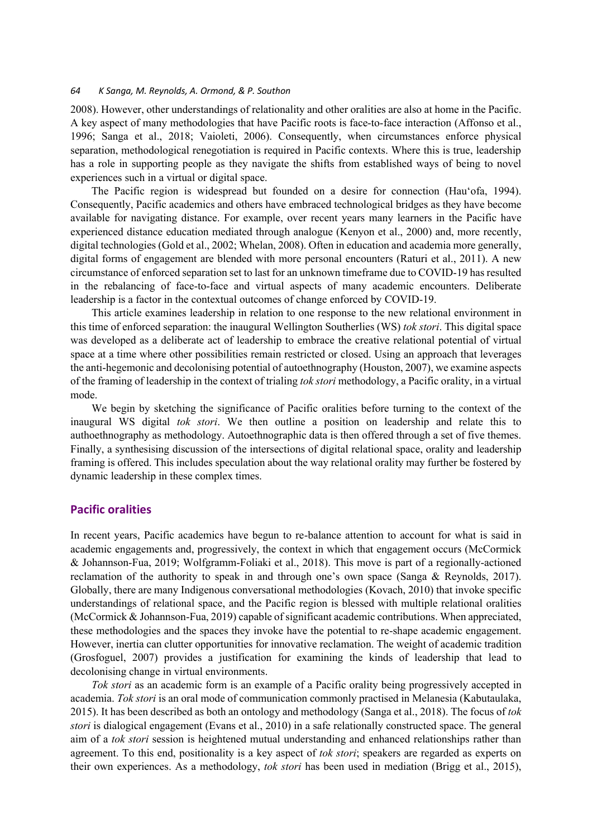2008). However, other understandings of relationality and other oralities are also at home in the Pacific. A key aspect of many methodologies that have Pacific roots is face-to-face interaction (Affonso et al., 1996; Sanga et al., 2018; Vaioleti, 2006). Consequently, when circumstances enforce physical separation, methodological renegotiation is required in Pacific contexts. Where this is true, leadership has a role in supporting people as they navigate the shifts from established ways of being to novel experiences such in a virtual or digital space.

The Pacific region is widespread but founded on a desire for connection (Hau'ofa, 1994). Consequently, Pacific academics and others have embraced technological bridges as they have become available for navigating distance. For example, over recent years many learners in the Pacific have experienced distance education mediated through analogue (Kenyon et al., 2000) and, more recently, digital technologies (Gold et al., 2002; Whelan, 2008). Often in education and academia more generally, digital forms of engagement are blended with more personal encounters (Raturi et al., 2011). A new circumstance of enforced separation set to last for an unknown timeframe due to COVID-19 has resulted in the rebalancing of face-to-face and virtual aspects of many academic encounters. Deliberate leadership is a factor in the contextual outcomes of change enforced by COVID-19.

This article examines leadership in relation to one response to the new relational environment in this time of enforced separation: the inaugural Wellington Southerlies (WS) *tok stori*. This digital space was developed as a deliberate act of leadership to embrace the creative relational potential of virtual space at a time where other possibilities remain restricted or closed. Using an approach that leverages the anti-hegemonic and decolonising potential of autoethnography (Houston, 2007), we examine aspects of the framing of leadership in the context of trialing *tok stori* methodology, a Pacific orality, in a virtual mode.

We begin by sketching the significance of Pacific oralities before turning to the context of the inaugural WS digital *tok stori*. We then outline a position on leadership and relate this to authoethnography as methodology. Autoethnographic data is then offered through a set of five themes. Finally, a synthesising discussion of the intersections of digital relational space, orality and leadership framing is offered. This includes speculation about the way relational orality may further be fostered by dynamic leadership in these complex times.

## **Pacific oralities**

In recent years, Pacific academics have begun to re-balance attention to account for what is said in academic engagements and, progressively, the context in which that engagement occurs (McCormick & Johannson-Fua, 2019; Wolfgramm-Foliaki et al., 2018). This move is part of a regionally-actioned reclamation of the authority to speak in and through one's own space (Sanga & Reynolds, 2017). Globally, there are many Indigenous conversational methodologies (Kovach, 2010) that invoke specific understandings of relational space, and the Pacific region is blessed with multiple relational oralities (McCormick & Johannson-Fua, 2019) capable of significant academic contributions. When appreciated, these methodologies and the spaces they invoke have the potential to re-shape academic engagement. However, inertia can clutter opportunities for innovative reclamation. The weight of academic tradition (Grosfoguel, 2007) provides a justification for examining the kinds of leadership that lead to decolonising change in virtual environments.

*Tok stori* as an academic form is an example of a Pacific orality being progressively accepted in academia. *Tok stori* is an oral mode of communication commonly practised in Melanesia (Kabutaulaka, 2015). It has been described as both an ontology and methodology (Sanga et al., 2018). The focus of *tok stori* is dialogical engagement (Evans et al., 2010) in a safe relationally constructed space. The general aim of a *tok stori* session is heightened mutual understanding and enhanced relationships rather than agreement. To this end, positionality is a key aspect of *tok stori*; speakers are regarded as experts on their own experiences. As a methodology, *tok stori* has been used in mediation (Brigg et al., 2015),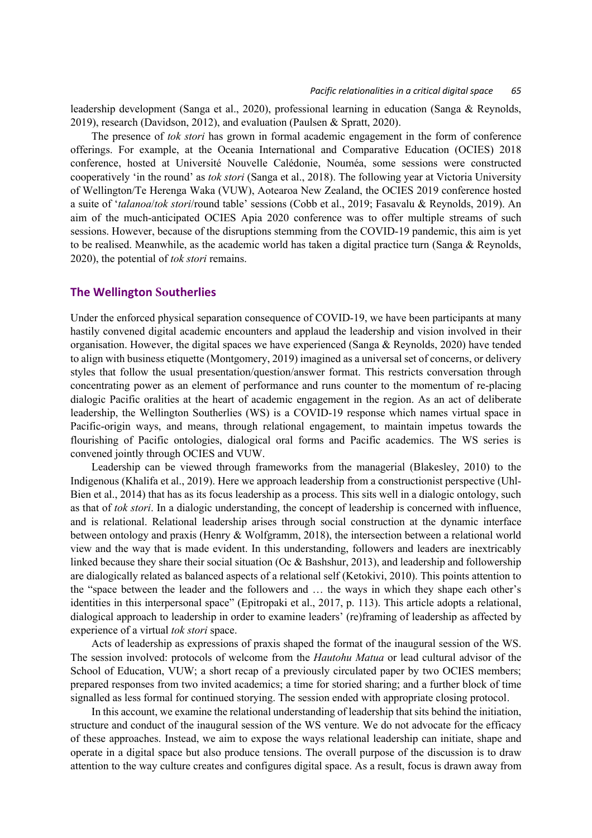leadership development (Sanga et al., 2020), professional learning in education (Sanga & Reynolds, 2019), research (Davidson, 2012), and evaluation (Paulsen & Spratt, 2020).

The presence of *tok stori* has grown in formal academic engagement in the form of conference offerings. For example, at the Oceania International and Comparative Education (OCIES) 2018 conference, hosted at Université Nouvelle Calédonie, Nouméa, some sessions were constructed cooperatively 'in the round' as *tok stori* (Sanga et al., 2018). The following year at Victoria University of Wellington/Te Herenga Waka (VUW), Aotearoa New Zealand, the OCIES 2019 conference hosted a suite of '*talanoa*/*tok stori*/round table' sessions (Cobb et al., 2019; Fasavalu & Reynolds, 2019). An aim of the much-anticipated OCIES Apia 2020 conference was to offer multiple streams of such sessions. However, because of the disruptions stemming from the COVID-19 pandemic, this aim is yet to be realised. Meanwhile, as the academic world has taken a digital practice turn (Sanga & Reynolds, 2020), the potential of *tok stori* remains.

#### **The Wellington Southerlies**

Under the enforced physical separation consequence of COVID-19, we have been participants at many hastily convened digital academic encounters and applaud the leadership and vision involved in their organisation. However, the digital spaces we have experienced (Sanga & Reynolds, 2020) have tended to align with business etiquette (Montgomery, 2019) imagined as a universal set of concerns, or delivery styles that follow the usual presentation/question/answer format. This restricts conversation through concentrating power as an element of performance and runs counter to the momentum of re-placing dialogic Pacific oralities at the heart of academic engagement in the region. As an act of deliberate leadership, the Wellington Southerlies (WS) is a COVID-19 response which names virtual space in Pacific-origin ways, and means, through relational engagement, to maintain impetus towards the flourishing of Pacific ontologies, dialogical oral forms and Pacific academics. The WS series is convened jointly through OCIES and VUW.

Leadership can be viewed through frameworks from the managerial (Blakesley, 2010) to the Indigenous (Khalifa et al., 2019). Here we approach leadership from a constructionist perspective (Uhl-Bien et al., 2014) that has as its focus leadership as a process. This sits well in a dialogic ontology, such as that of *tok stori*. In a dialogic understanding, the concept of leadership is concerned with influence, and is relational. Relational leadership arises through social construction at the dynamic interface between ontology and praxis (Henry & Wolfgramm, 2018), the intersection between a relational world view and the way that is made evident. In this understanding, followers and leaders are inextricably linked because they share their social situation (Oc & Bashshur, 2013), and leadership and followership are dialogically related as balanced aspects of a relational self (Ketokivi, 2010). This points attention to the "space between the leader and the followers and … the ways in which they shape each other's identities in this interpersonal space" (Epitropaki et al., 2017, p. 113). This article adopts a relational, dialogical approach to leadership in order to examine leaders' (re)framing of leadership as affected by experience of a virtual *tok stori* space.

Acts of leadership as expressions of praxis shaped the format of the inaugural session of the WS. The session involved: protocols of welcome from the *Hautohu Matua* or lead cultural advisor of the School of Education, VUW; a short recap of a previously circulated paper by two OCIES members; prepared responses from two invited academics; a time for storied sharing; and a further block of time signalled as less formal for continued storying. The session ended with appropriate closing protocol.

In this account, we examine the relational understanding of leadership that sits behind the initiation, structure and conduct of the inaugural session of the WS venture. We do not advocate for the efficacy of these approaches. Instead, we aim to expose the ways relational leadership can initiate, shape and operate in a digital space but also produce tensions. The overall purpose of the discussion is to draw attention to the way culture creates and configures digital space. As a result, focus is drawn away from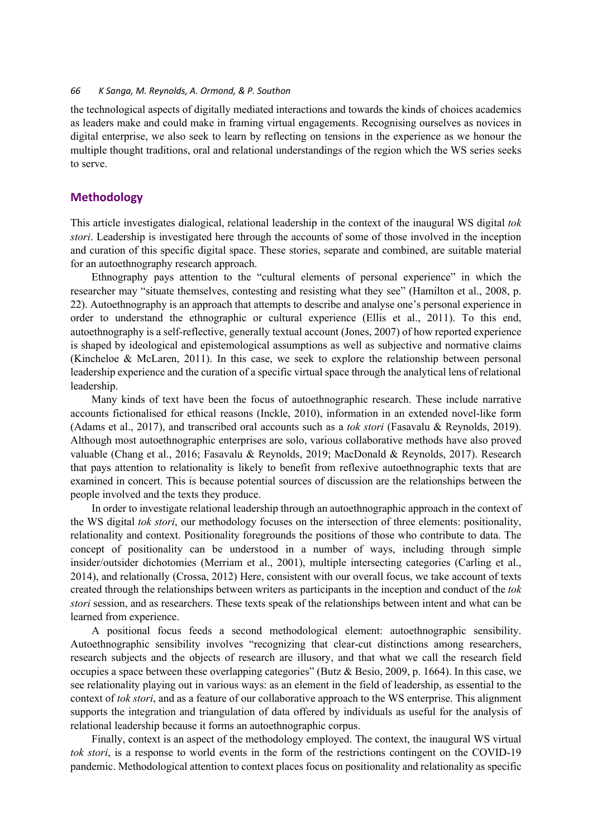the technological aspects of digitally mediated interactions and towards the kinds of choices academics as leaders make and could make in framing virtual engagements. Recognising ourselves as novices in digital enterprise, we also seek to learn by reflecting on tensions in the experience as we honour the multiple thought traditions, oral and relational understandings of the region which the WS series seeks to serve.

#### **Methodology**

This article investigates dialogical, relational leadership in the context of the inaugural WS digital *tok stori*. Leadership is investigated here through the accounts of some of those involved in the inception and curation of this specific digital space. These stories, separate and combined, are suitable material for an autoethnography research approach.

Ethnography pays attention to the "cultural elements of personal experience" in which the researcher may "situate themselves, contesting and resisting what they see" (Hamilton et al., 2008, p. 22). Autoethnography is an approach that attempts to describe and analyse one's personal experience in order to understand the ethnographic or cultural experience (Ellis et al., 2011). To this end, autoethnography is a self-reflective, generally textual account (Jones, 2007) of how reported experience is shaped by ideological and epistemological assumptions as well as subjective and normative claims (Kincheloe & McLaren, 2011). In this case, we seek to explore the relationship between personal leadership experience and the curation of a specific virtual space through the analytical lens of relational leadership.

Many kinds of text have been the focus of autoethnographic research. These include narrative accounts fictionalised for ethical reasons (Inckle, 2010), information in an extended novel-like form (Adams et al., 2017), and transcribed oral accounts such as a *tok stori* (Fasavalu & Reynolds, 2019). Although most autoethnographic enterprises are solo, various collaborative methods have also proved valuable (Chang et al., 2016; Fasavalu & Reynolds, 2019; MacDonald & Reynolds, 2017). Research that pays attention to relationality is likely to benefit from reflexive autoethnographic texts that are examined in concert. This is because potential sources of discussion are the relationships between the people involved and the texts they produce.

In order to investigate relational leadership through an autoethnographic approach in the context of the WS digital *tok stori*, our methodology focuses on the intersection of three elements: positionality, relationality and context. Positionality foregrounds the positions of those who contribute to data. The concept of positionality can be understood in a number of ways, including through simple insider/outsider dichotomies (Merriam et al., 2001), multiple intersecting categories (Carling et al., 2014), and relationally (Crossa, 2012) Here, consistent with our overall focus, we take account of texts created through the relationships between writers as participants in the inception and conduct of the *tok stori* session, and as researchers. These texts speak of the relationships between intent and what can be learned from experience.

A positional focus feeds a second methodological element: autoethnographic sensibility. Autoethnographic sensibility involves "recognizing that clear-cut distinctions among researchers, research subjects and the objects of research are illusory, and that what we call the research field occupies a space between these overlapping categories" (Butz & Besio, 2009, p. 1664). In this case, we see relationality playing out in various ways: as an element in the field of leadership, as essential to the context of *tok stori*, and as a feature of our collaborative approach to the WS enterprise. This alignment supports the integration and triangulation of data offered by individuals as useful for the analysis of relational leadership because it forms an autoethnographic corpus.

Finally, context is an aspect of the methodology employed. The context, the inaugural WS virtual *tok stori*, is a response to world events in the form of the restrictions contingent on the COVID-19 pandemic. Methodological attention to context places focus on positionality and relationality as specific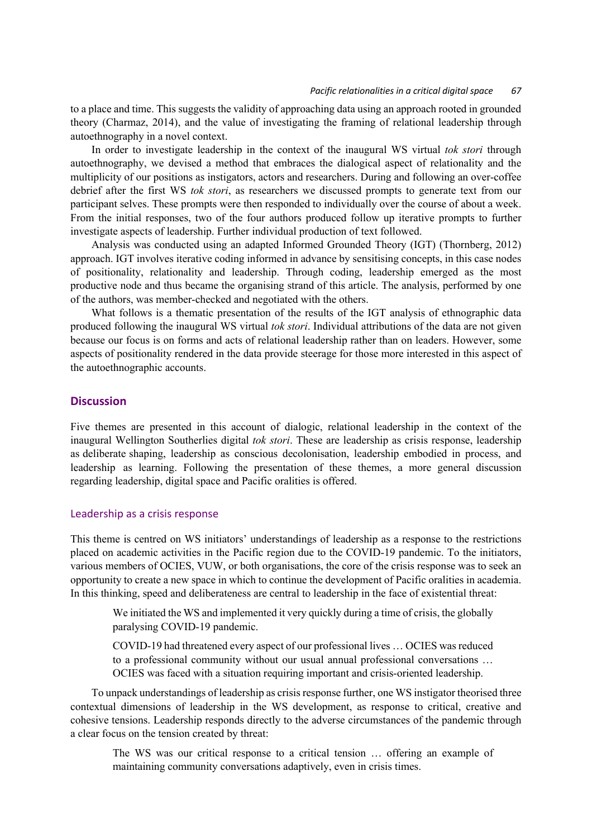to a place and time. This suggests the validity of approaching data using an approach rooted in grounded theory (Charmaz, 2014), and the value of investigating the framing of relational leadership through autoethnography in a novel context.

In order to investigate leadership in the context of the inaugural WS virtual *tok stori* through autoethnography, we devised a method that embraces the dialogical aspect of relationality and the multiplicity of our positions as instigators, actors and researchers. During and following an over-coffee debrief after the first WS *tok stori*, as researchers we discussed prompts to generate text from our participant selves. These prompts were then responded to individually over the course of about a week. From the initial responses, two of the four authors produced follow up iterative prompts to further investigate aspects of leadership. Further individual production of text followed.

Analysis was conducted using an adapted Informed Grounded Theory (IGT) (Thornberg, 2012) approach. IGT involves iterative coding informed in advance by sensitising concepts, in this case nodes of positionality, relationality and leadership. Through coding, leadership emerged as the most productive node and thus became the organising strand of this article. The analysis, performed by one of the authors, was member-checked and negotiated with the others.

What follows is a thematic presentation of the results of the IGT analysis of ethnographic data produced following the inaugural WS virtual *tok stori*. Individual attributions of the data are not given because our focus is on forms and acts of relational leadership rather than on leaders. However, some aspects of positionality rendered in the data provide steerage for those more interested in this aspect of the autoethnographic accounts.

## **Discussion**

Five themes are presented in this account of dialogic, relational leadership in the context of the inaugural Wellington Southerlies digital *tok stori*. These are leadership as crisis response, leadership as deliberate shaping, leadership as conscious decolonisation, leadership embodied in process, and leadership as learning. Following the presentation of these themes, a more general discussion regarding leadership, digital space and Pacific oralities is offered.

#### Leadership as a crisis response

This theme is centred on WS initiators' understandings of leadership as a response to the restrictions placed on academic activities in the Pacific region due to the COVID-19 pandemic. To the initiators, various members of OCIES, VUW, or both organisations, the core of the crisis response was to seek an opportunity to create a new space in which to continue the development of Pacific oralities in academia. In this thinking, speed and deliberateness are central to leadership in the face of existential threat:

We initiated the WS and implemented it very quickly during a time of crisis, the globally paralysing COVID-19 pandemic.

COVID-19 had threatened every aspect of our professional lives … OCIES was reduced to a professional community without our usual annual professional conversations … OCIES was faced with a situation requiring important and crisis-oriented leadership.

To unpack understandings of leadership as crisis response further, one WS instigator theorised three contextual dimensions of leadership in the WS development, as response to critical, creative and cohesive tensions. Leadership responds directly to the adverse circumstances of the pandemic through a clear focus on the tension created by threat:

The WS was our critical response to a critical tension … offering an example of maintaining community conversations adaptively, even in crisis times.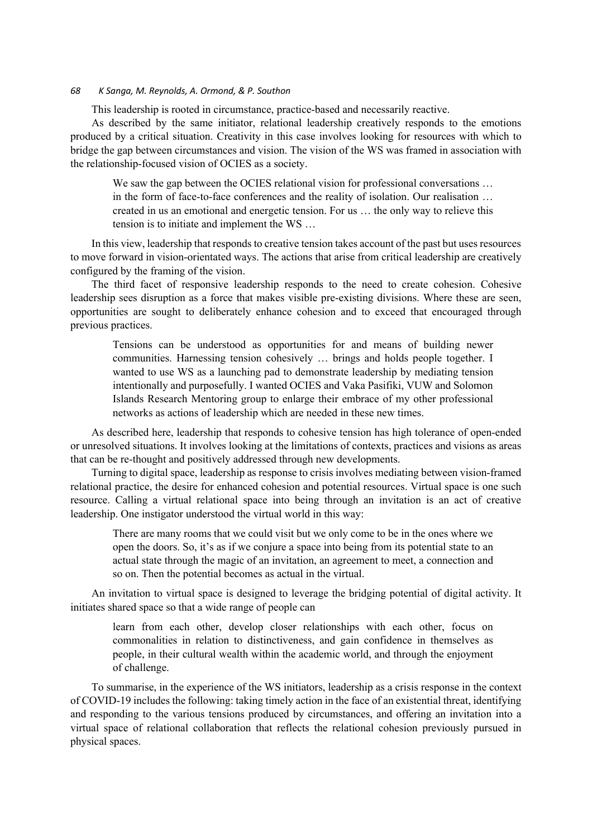This leadership is rooted in circumstance, practice-based and necessarily reactive.

As described by the same initiator, relational leadership creatively responds to the emotions produced by a critical situation. Creativity in this case involves looking for resources with which to bridge the gap between circumstances and vision. The vision of the WS was framed in association with the relationship-focused vision of OCIES as a society.

We saw the gap between the OCIES relational vision for professional conversations ... in the form of face-to-face conferences and the reality of isolation. Our realisation … created in us an emotional and energetic tension. For us … the only way to relieve this tension is to initiate and implement the WS …

In this view, leadership that responds to creative tension takes account of the past but uses resources to move forward in vision-orientated ways. The actions that arise from critical leadership are creatively configured by the framing of the vision.

The third facet of responsive leadership responds to the need to create cohesion. Cohesive leadership sees disruption as a force that makes visible pre-existing divisions. Where these are seen, opportunities are sought to deliberately enhance cohesion and to exceed that encouraged through previous practices.

Tensions can be understood as opportunities for and means of building newer communities. Harnessing tension cohesively … brings and holds people together. I wanted to use WS as a launching pad to demonstrate leadership by mediating tension intentionally and purposefully. I wanted OCIES and Vaka Pasifiki, VUW and Solomon Islands Research Mentoring group to enlarge their embrace of my other professional networks as actions of leadership which are needed in these new times.

As described here, leadership that responds to cohesive tension has high tolerance of open-ended or unresolved situations. It involves looking at the limitations of contexts, practices and visions as areas that can be re-thought and positively addressed through new developments.

Turning to digital space, leadership as response to crisis involves mediating between vision-framed relational practice, the desire for enhanced cohesion and potential resources. Virtual space is one such resource. Calling a virtual relational space into being through an invitation is an act of creative leadership. One instigator understood the virtual world in this way:

There are many rooms that we could visit but we only come to be in the ones where we open the doors. So, it's as if we conjure a space into being from its potential state to an actual state through the magic of an invitation, an agreement to meet, a connection and so on. Then the potential becomes as actual in the virtual.

An invitation to virtual space is designed to leverage the bridging potential of digital activity. It initiates shared space so that a wide range of people can

learn from each other, develop closer relationships with each other, focus on commonalities in relation to distinctiveness, and gain confidence in themselves as people, in their cultural wealth within the academic world, and through the enjoyment of challenge.

To summarise, in the experience of the WS initiators, leadership as a crisis response in the context of COVID-19 includes the following: taking timely action in the face of an existential threat, identifying and responding to the various tensions produced by circumstances, and offering an invitation into a virtual space of relational collaboration that reflects the relational cohesion previously pursued in physical spaces.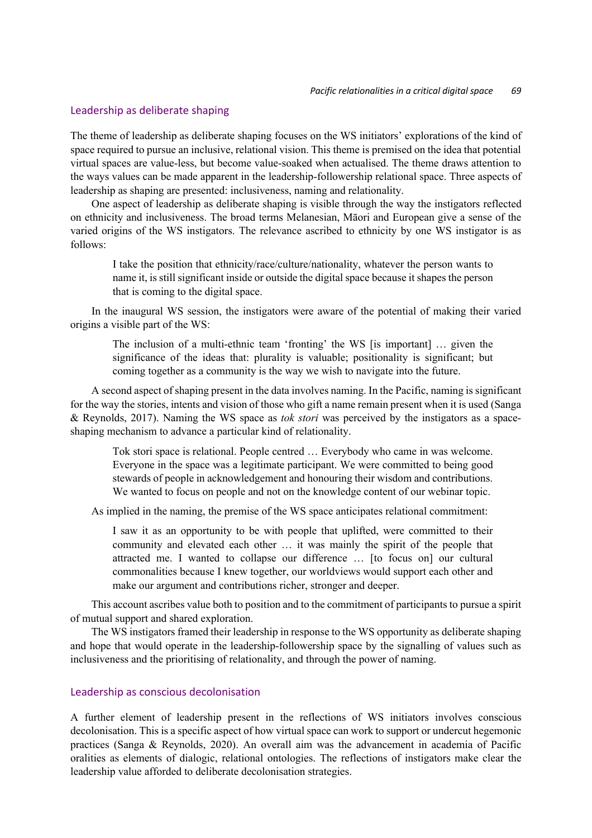#### Leadership as deliberate shaping

The theme of leadership as deliberate shaping focuses on the WS initiators' explorations of the kind of space required to pursue an inclusive, relational vision. This theme is premised on the idea that potential virtual spaces are value-less, but become value-soaked when actualised. The theme draws attention to the ways values can be made apparent in the leadership-followership relational space. Three aspects of leadership as shaping are presented: inclusiveness, naming and relationality.

One aspect of leadership as deliberate shaping is visible through the way the instigators reflected on ethnicity and inclusiveness. The broad terms Melanesian, Māori and European give a sense of the varied origins of the WS instigators. The relevance ascribed to ethnicity by one WS instigator is as follows:

I take the position that ethnicity/race/culture/nationality, whatever the person wants to name it, is still significant inside or outside the digital space because it shapes the person that is coming to the digital space.

In the inaugural WS session, the instigators were aware of the potential of making their varied origins a visible part of the WS:

The inclusion of a multi-ethnic team 'fronting' the WS [is important] … given the significance of the ideas that: plurality is valuable; positionality is significant; but coming together as a community is the way we wish to navigate into the future.

A second aspect of shaping present in the data involves naming. In the Pacific, naming is significant for the way the stories, intents and vision of those who gift a name remain present when it is used (Sanga & Reynolds, 2017). Naming the WS space as *tok stori* was perceived by the instigators as a spaceshaping mechanism to advance a particular kind of relationality.

Tok stori space is relational. People centred … Everybody who came in was welcome. Everyone in the space was a legitimate participant. We were committed to being good stewards of people in acknowledgement and honouring their wisdom and contributions. We wanted to focus on people and not on the knowledge content of our webinar topic.

As implied in the naming, the premise of the WS space anticipates relational commitment:

I saw it as an opportunity to be with people that uplifted, were committed to their community and elevated each other … it was mainly the spirit of the people that attracted me. I wanted to collapse our difference … [to focus on] our cultural commonalities because I knew together, our worldviews would support each other and make our argument and contributions richer, stronger and deeper.

This account ascribes value both to position and to the commitment of participants to pursue a spirit of mutual support and shared exploration.

The WS instigators framed their leadership in response to the WS opportunity as deliberate shaping and hope that would operate in the leadership-followership space by the signalling of values such as inclusiveness and the prioritising of relationality, and through the power of naming.

## Leadership as conscious decolonisation

A further element of leadership present in the reflections of WS initiators involves conscious decolonisation. This is a specific aspect of how virtual space can work to support or undercut hegemonic practices (Sanga & Reynolds, 2020). An overall aim was the advancement in academia of Pacific oralities as elements of dialogic, relational ontologies. The reflections of instigators make clear the leadership value afforded to deliberate decolonisation strategies.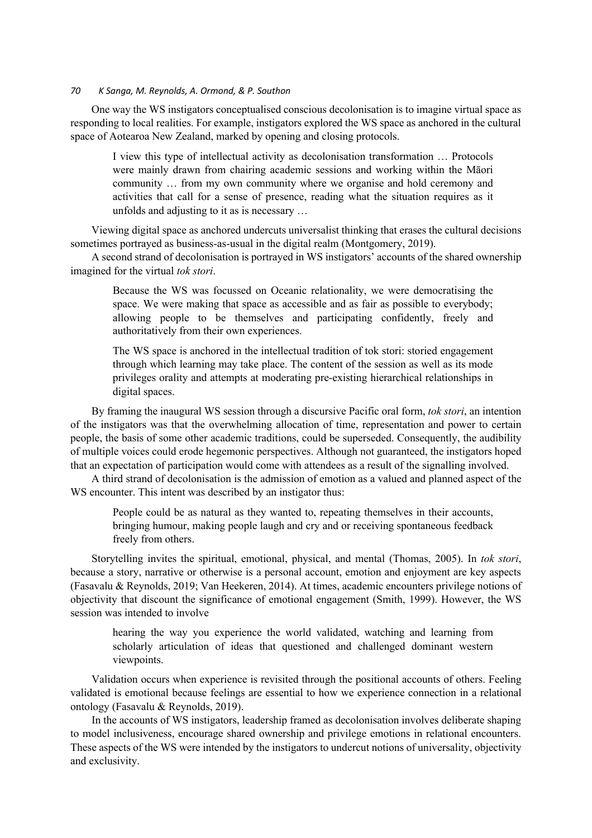One way the WS instigators conceptualised conscious decolonisation is to imagine virtual space as responding to local realities. For example, instigators explored the WS space as anchored in the cultural space of Aotearoa New Zealand, marked by opening and closing protocols.

I view this type of intellectual activity as decolonisation transformation … Protocols were mainly drawn from chairing academic sessions and working within the Māori community … from my own community where we organise and hold ceremony and activities that call for a sense of presence, reading what the situation requires as it unfolds and adjusting to it as is necessary …

Viewing digital space as anchored undercuts universalist thinking that erases the cultural decisions sometimes portrayed as business-as-usual in the digital realm (Montgomery, 2019).

A second strand of decolonisation is portrayed in WS instigators' accounts of the shared ownership imagined for the virtual *tok stori*.

Because the WS was focussed on Oceanic relationality, we were democratising the space. We were making that space as accessible and as fair as possible to everybody; allowing people to be themselves and participating confidently, freely and authoritatively from their own experiences.

The WS space is anchored in the intellectual tradition of tok stori: storied engagement through which learning may take place. The content of the session as well as its mode privileges orality and attempts at moderating pre-existing hierarchical relationships in digital spaces.

By framing the inaugural WS session through a discursive Pacific oral form, *tok stori*, an intention of the instigators was that the overwhelming allocation of time, representation and power to certain people, the basis of some other academic traditions, could be superseded. Consequently, the audibility of multiple voices could erode hegemonic perspectives. Although not guaranteed, the instigators hoped that an expectation of participation would come with attendees as a result of the signalling involved.

A third strand of decolonisation is the admission of emotion as a valued and planned aspect of the WS encounter. This intent was described by an instigator thus:

People could be as natural as they wanted to, repeating themselves in their accounts, bringing humour, making people laugh and cry and or receiving spontaneous feedback freely from others.

Storytelling invites the spiritual, emotional, physical, and mental (Thomas, 2005). In *tok stori*, because a story, narrative or otherwise is a personal account, emotion and enjoyment are key aspects (Fasavalu & Reynolds, 2019; Van Heekeren, 2014). At times, academic encounters privilege notions of objectivity that discount the significance of emotional engagement (Smith, 1999). However, the WS session was intended to involve

hearing the way you experience the world validated, watching and learning from scholarly articulation of ideas that questioned and challenged dominant western viewpoints.

Validation occurs when experience is revisited through the positional accounts of others. Feeling validated is emotional because feelings are essential to how we experience connection in a relational ontology (Fasavalu & Reynolds, 2019).

In the accounts of WS instigators, leadership framed as decolonisation involves deliberate shaping to model inclusiveness, encourage shared ownership and privilege emotions in relational encounters. These aspects of the WS were intended by the instigators to undercut notions of universality, objectivity and exclusivity.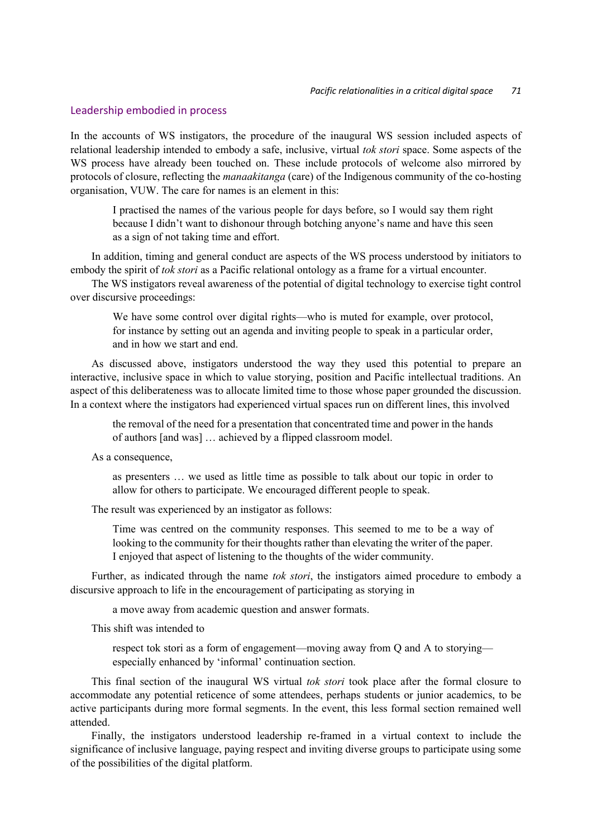#### Leadership embodied in process

In the accounts of WS instigators, the procedure of the inaugural WS session included aspects of relational leadership intended to embody a safe, inclusive, virtual *tok stori* space. Some aspects of the WS process have already been touched on. These include protocols of welcome also mirrored by protocols of closure, reflecting the *manaakitanga* (care) of the Indigenous community of the co-hosting organisation, VUW. The care for names is an element in this:

I practised the names of the various people for days before, so I would say them right because I didn't want to dishonour through botching anyone's name and have this seen as a sign of not taking time and effort.

In addition, timing and general conduct are aspects of the WS process understood by initiators to embody the spirit of *tok stori* as a Pacific relational ontology as a frame for a virtual encounter.

The WS instigators reveal awareness of the potential of digital technology to exercise tight control over discursive proceedings:

We have some control over digital rights—who is muted for example, over protocol, for instance by setting out an agenda and inviting people to speak in a particular order, and in how we start and end.

As discussed above, instigators understood the way they used this potential to prepare an interactive, inclusive space in which to value storying, position and Pacific intellectual traditions. An aspect of this deliberateness was to allocate limited time to those whose paper grounded the discussion. In a context where the instigators had experienced virtual spaces run on different lines, this involved

the removal of the need for a presentation that concentrated time and power in the hands of authors [and was] … achieved by a flipped classroom model.

As a consequence,

as presenters … we used as little time as possible to talk about our topic in order to allow for others to participate. We encouraged different people to speak.

The result was experienced by an instigator as follows:

Time was centred on the community responses. This seemed to me to be a way of looking to the community for their thoughts rather than elevating the writer of the paper. I enjoyed that aspect of listening to the thoughts of the wider community.

Further, as indicated through the name *tok stori*, the instigators aimed procedure to embody a discursive approach to life in the encouragement of participating as storying in

a move away from academic question and answer formats.

This shift was intended to

respect tok stori as a form of engagement—moving away from Q and A to storying especially enhanced by 'informal' continuation section.

This final section of the inaugural WS virtual *tok stori* took place after the formal closure to accommodate any potential reticence of some attendees, perhaps students or junior academics, to be active participants during more formal segments. In the event, this less formal section remained well attended.

Finally, the instigators understood leadership re-framed in a virtual context to include the significance of inclusive language, paying respect and inviting diverse groups to participate using some of the possibilities of the digital platform.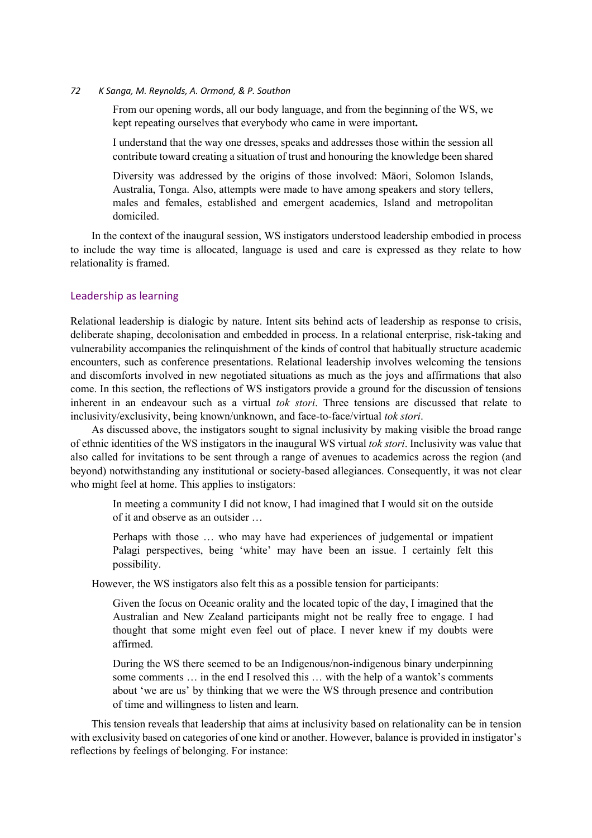From our opening words, all our body language, and from the beginning of the WS, we kept repeating ourselves that everybody who came in were important**.**

I understand that the way one dresses, speaks and addresses those within the session all contribute toward creating a situation of trust and honouring the knowledge been shared

Diversity was addressed by the origins of those involved: Māori, Solomon Islands, Australia, Tonga. Also, attempts were made to have among speakers and story tellers, males and females, established and emergent academics, Island and metropolitan domiciled.

In the context of the inaugural session, WS instigators understood leadership embodied in process to include the way time is allocated, language is used and care is expressed as they relate to how relationality is framed.

#### Leadership as learning

Relational leadership is dialogic by nature. Intent sits behind acts of leadership as response to crisis, deliberate shaping, decolonisation and embedded in process. In a relational enterprise, risk-taking and vulnerability accompanies the relinquishment of the kinds of control that habitually structure academic encounters, such as conference presentations. Relational leadership involves welcoming the tensions and discomforts involved in new negotiated situations as much as the joys and affirmations that also come. In this section, the reflections of WS instigators provide a ground for the discussion of tensions inherent in an endeavour such as a virtual *tok stori*. Three tensions are discussed that relate to inclusivity/exclusivity, being known/unknown, and face-to-face/virtual *tok stori*.

As discussed above, the instigators sought to signal inclusivity by making visible the broad range of ethnic identities of the WS instigators in the inaugural WS virtual *tok stori*. Inclusivity was value that also called for invitations to be sent through a range of avenues to academics across the region (and beyond) notwithstanding any institutional or society-based allegiances. Consequently, it was not clear who might feel at home. This applies to instigators:

In meeting a community I did not know, I had imagined that I would sit on the outside of it and observe as an outsider …

Perhaps with those … who may have had experiences of judgemental or impatient Palagi perspectives, being 'white' may have been an issue. I certainly felt this possibility.

However, the WS instigators also felt this as a possible tension for participants:

Given the focus on Oceanic orality and the located topic of the day, I imagined that the Australian and New Zealand participants might not be really free to engage. I had thought that some might even feel out of place. I never knew if my doubts were affirmed.

During the WS there seemed to be an Indigenous/non-indigenous binary underpinning some comments … in the end I resolved this … with the help of a wantok's comments about 'we are us' by thinking that we were the WS through presence and contribution of time and willingness to listen and learn.

This tension reveals that leadership that aims at inclusivity based on relationality can be in tension with exclusivity based on categories of one kind or another. However, balance is provided in instigator's reflections by feelings of belonging. For instance: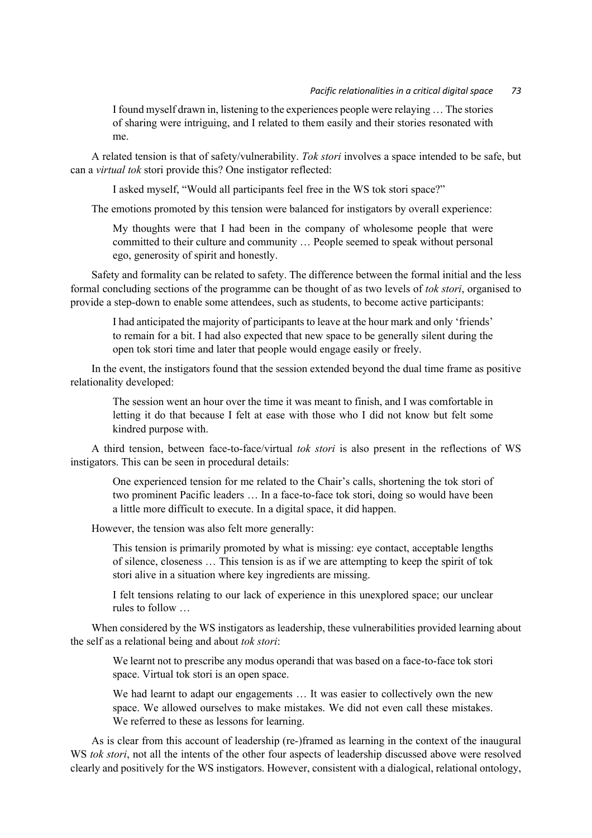#### *Pacific relationalities in a critical digital space 73*

I found myself drawn in, listening to the experiences people were relaying … The stories of sharing were intriguing, and I related to them easily and their stories resonated with me.

A related tension is that of safety/vulnerability. *Tok stori* involves a space intended to be safe, but can a *virtual tok* stori provide this? One instigator reflected:

I asked myself, "Would all participants feel free in the WS tok stori space?"

The emotions promoted by this tension were balanced for instigators by overall experience:

My thoughts were that I had been in the company of wholesome people that were committed to their culture and community … People seemed to speak without personal ego, generosity of spirit and honestly.

Safety and formality can be related to safety. The difference between the formal initial and the less formal concluding sections of the programme can be thought of as two levels of *tok stori*, organised to provide a step-down to enable some attendees, such as students, to become active participants:

I had anticipated the majority of participants to leave at the hour mark and only 'friends' to remain for a bit. I had also expected that new space to be generally silent during the open tok stori time and later that people would engage easily or freely.

In the event, the instigators found that the session extended beyond the dual time frame as positive relationality developed:

The session went an hour over the time it was meant to finish, and I was comfortable in letting it do that because I felt at ease with those who I did not know but felt some kindred purpose with.

A third tension, between face-to-face/virtual *tok stori* is also present in the reflections of WS instigators. This can be seen in procedural details:

One experienced tension for me related to the Chair's calls, shortening the tok stori of two prominent Pacific leaders … In a face-to-face tok stori, doing so would have been a little more difficult to execute. In a digital space, it did happen.

However, the tension was also felt more generally:

This tension is primarily promoted by what is missing: eye contact, acceptable lengths of silence, closeness … This tension is as if we are attempting to keep the spirit of tok stori alive in a situation where key ingredients are missing.

I felt tensions relating to our lack of experience in this unexplored space; our unclear rules to follow …

When considered by the WS instigators as leadership, these vulnerabilities provided learning about the self as a relational being and about *tok stori*:

We learnt not to prescribe any modus operandi that was based on a face-to-face tok stori space. Virtual tok stori is an open space.

We had learnt to adapt our engagements ... It was easier to collectively own the new space. We allowed ourselves to make mistakes. We did not even call these mistakes. We referred to these as lessons for learning.

As is clear from this account of leadership (re-)framed as learning in the context of the inaugural WS *tok stori*, not all the intents of the other four aspects of leadership discussed above were resolved clearly and positively for the WS instigators. However, consistent with a dialogical, relational ontology,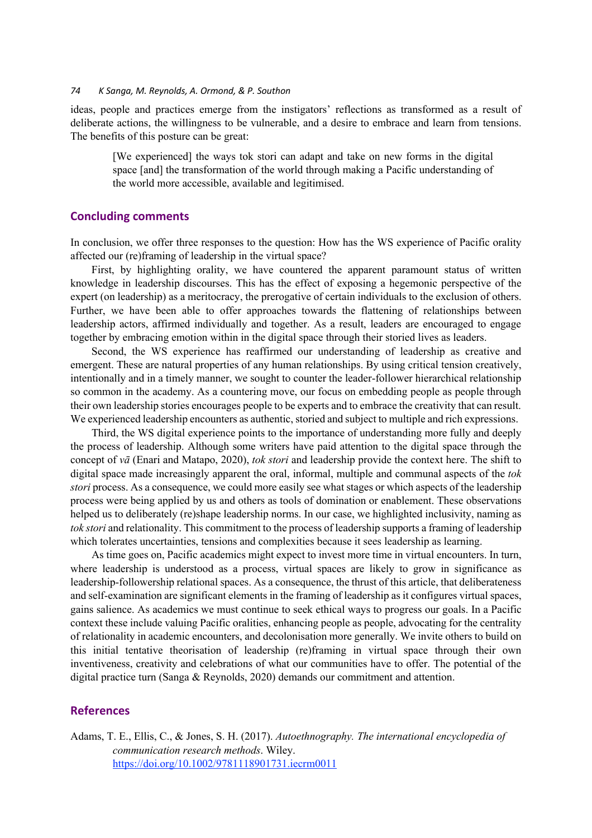ideas, people and practices emerge from the instigators' reflections as transformed as a result of deliberate actions, the willingness to be vulnerable, and a desire to embrace and learn from tensions. The benefits of this posture can be great:

[We experienced] the ways tok stori can adapt and take on new forms in the digital space [and] the transformation of the world through making a Pacific understanding of the world more accessible, available and legitimised.

## **Concluding comments**

In conclusion, we offer three responses to the question: How has the WS experience of Pacific orality affected our (re)framing of leadership in the virtual space?

First, by highlighting orality, we have countered the apparent paramount status of written knowledge in leadership discourses. This has the effect of exposing a hegemonic perspective of the expert (on leadership) as a meritocracy, the prerogative of certain individuals to the exclusion of others. Further, we have been able to offer approaches towards the flattening of relationships between leadership actors, affirmed individually and together. As a result, leaders are encouraged to engage together by embracing emotion within in the digital space through their storied lives as leaders.

Second, the WS experience has reaffirmed our understanding of leadership as creative and emergent. These are natural properties of any human relationships. By using critical tension creatively, intentionally and in a timely manner, we sought to counter the leader-follower hierarchical relationship so common in the academy. As a countering move, our focus on embedding people as people through their own leadership stories encourages people to be experts and to embrace the creativity that can result. We experienced leadership encounters as authentic, storied and subject to multiple and rich expressions.

Third, the WS digital experience points to the importance of understanding more fully and deeply the process of leadership. Although some writers have paid attention to the digital space through the concept of *vā* (Enari and Matapo, 2020), *tok stori* and leadership provide the context here. The shift to digital space made increasingly apparent the oral, informal, multiple and communal aspects of the *tok stori* process. As a consequence, we could more easily see what stages or which aspects of the leadership process were being applied by us and others as tools of domination or enablement. These observations helped us to deliberately (re)shape leadership norms. In our case, we highlighted inclusivity, naming as *tok stori* and relationality. This commitment to the process of leadership supports a framing of leadership which tolerates uncertainties, tensions and complexities because it sees leadership as learning.

As time goes on, Pacific academics might expect to invest more time in virtual encounters. In turn, where leadership is understood as a process, virtual spaces are likely to grow in significance as leadership-followership relational spaces. As a consequence, the thrust of this article, that deliberateness and self-examination are significant elements in the framing of leadership as it configures virtual spaces, gains salience. As academics we must continue to seek ethical ways to progress our goals. In a Pacific context these include valuing Pacific oralities, enhancing people as people, advocating for the centrality of relationality in academic encounters, and decolonisation more generally. We invite others to build on this initial tentative theorisation of leadership (re)framing in virtual space through their own inventiveness, creativity and celebrations of what our communities have to offer. The potential of the digital practice turn (Sanga & Reynolds, 2020) demands our commitment and attention.

## **References**

Adams, T. E., Ellis, C., & Jones, S. H. (2017). *Autoethnography. The international encyclopedia of communication research methods*. Wiley. https://doi.org/10.1002/9781118901731.iecrm0011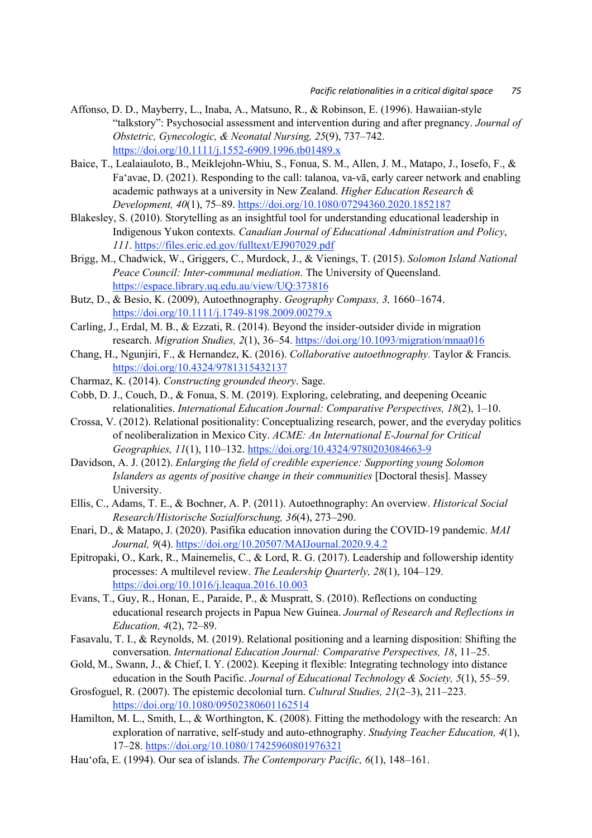- Affonso, D. D., Mayberry, L., Inaba, A., Matsuno, R., & Robinson, E. (1996). Hawaiian‐style "talkstory": Psychosocial assessment and intervention during and after pregnancy. *Journal of Obstetric, Gynecologic, & Neonatal Nursing, 25*(9), 737–742. https://doi.org/10.1111/j.1552-6909.1996.tb01489.x
- Baice, T., Lealaiauloto, B., Meiklejohn-Whiu, S., Fonua, S. M., Allen, J. M., Matapo, J., Iosefo, F., & Fa'avae, D. (2021). Responding to the call: talanoa, va-vā, early career network and enabling academic pathways at a university in New Zealand. *Higher Education Research & Development, 40*(1), 75–89. https://doi.org/10.1080/07294360.2020.1852187
- Blakesley, S. (2010). Storytelling as an insightful tool for understanding educational leadership in Indigenous Yukon contexts. *Canadian Journal of Educational Administration and Policy*, *111*. https://files.eric.ed.gov/fulltext/EJ907029.pdf
- Brigg, M., Chadwick, W., Griggers, C., Murdock, J., & Vienings, T. (2015). *Solomon Island National Peace Council: Inter-communal mediation*. The University of Queensland. https://espace.library.uq.edu.au/view/UQ:373816
- Butz, D., & Besio, K. (2009), Autoethnography. *Geography Compass, 3,* 1660–1674. https://doi.org/10.1111/j.1749-8198.2009.00279.x
- Carling, J., Erdal, M. B., & Ezzati, R. (2014). Beyond the insider-outsider divide in migration research. *Migration Studies, 2*(1), 36–54. https://doi.org/10.1093/migration/mnaa016
- Chang, H., Ngunjiri, F., & Hernandez, K. (2016). *Collaborative autoethnography.* Taylor & Francis. https://doi.org/10.4324/9781315432137
- Charmaz, K. (2014). *Constructing grounded theory*. Sage.
- Cobb, D. J., Couch, D., & Fonua, S. M. (2019). Exploring, celebrating, and deepening Oceanic relationalities. *International Education Journal: Comparative Perspectives, 18*(2), 1–10.
- Crossa, V. (2012). Relational positionality: Conceptualizing research, power, and the everyday politics of neoliberalization in Mexico City. *ACME: An International E-Journal for Critical Geographies, 11*(1), 110–132. https://doi.org/10.4324/9780203084663-9
- Davidson, A. J. (2012). *Enlarging the field of credible experience: Supporting young Solomon Islanders as agents of positive change in their communities* [Doctoral thesis]. Massey University.
- Ellis, C., Adams, T. E., & Bochner, A. P. (2011). Autoethnography: An overview. *Historical Social Research/Historische Sozialforschung, 36*(4), 273–290.
- Enari, D., & Matapo, J. (2020). Pasifika education innovation during the COVID-19 pandemic. *MAI Journal, 9*(4). https://doi.org/10.20507/MAIJournal.2020.9.4.2
- Epitropaki, O., Kark, R., Mainemelis, C., & Lord, R. G. (2017). Leadership and followership identity processes: A multilevel review. *The Leadership Quarterly, 28*(1), 104–129. https://doi.org/10.1016/j.leaqua.2016.10.003
- Evans, T., Guy, R., Honan, E., Paraide, P., & Muspratt, S. (2010). Reflections on conducting educational research projects in Papua New Guinea. *Journal of Research and Reflections in Education, 4*(2), 72–89.
- Fasavalu, T. I., & Reynolds, M. (2019). Relational positioning and a learning disposition: Shifting the conversation. *International Education Journal: Comparative Perspectives, 18*, 11–25.
- Gold, M., Swann, J., & Chief, I. Y. (2002). Keeping it flexible: Integrating technology into distance education in the South Pacific. *Journal of Educational Technology & Society, 5*(1), 55–59.
- Grosfoguel, R. (2007). The epistemic decolonial turn. *Cultural Studies, 21*(2–3), 211–223. https://doi.org/10.1080/09502380601162514
- Hamilton, M. L., Smith, L., & Worthington, K. (2008). Fitting the methodology with the research: An exploration of narrative, self-study and auto-ethnography. *Studying Teacher Education, 4*(1), 17–28. https://doi.org/10.1080/17425960801976321
- Hau'ofa, E. (1994). Our sea of islands. *The Contemporary Pacific, 6*(1), 148–161.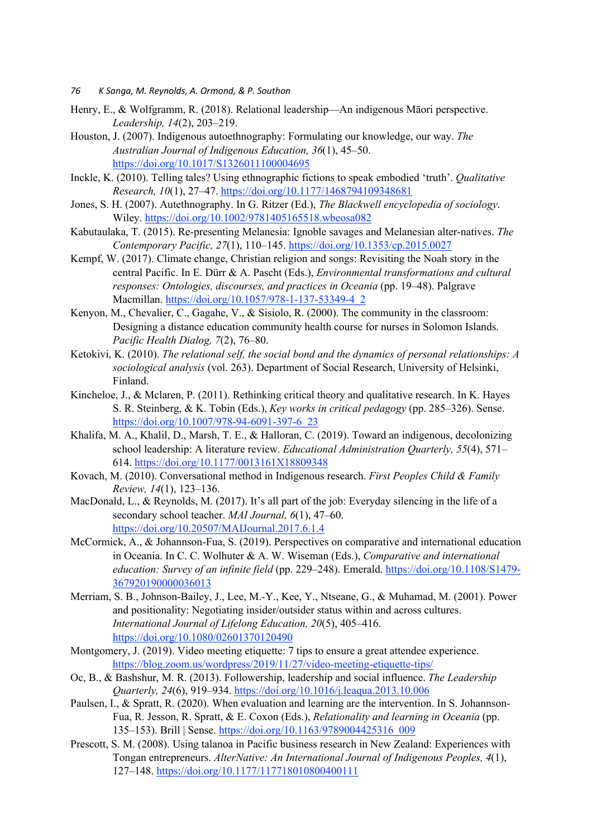- *76 K Sanga, M. Reynolds, A. Ormond, & P. Southon*
- Henry, E., & Wolfgramm, R. (2018). Relational leadership—An indigenous Māori perspective. *Leadership, 14*(2), 203–219.
- Houston, J. (2007). Indigenous autoethnography: Formulating our knowledge, our way. *The Australian Journal of Indigenous Education, 36*(1), 45–50. https://doi.org/10.1017/S1326011100004695
- Inckle, K. (2010). Telling tales? Using ethnographic fictions to speak embodied 'truth'. *Qualitative Research, 10*(1), 27–47. https://doi.org/10.1177/1468794109348681
- Jones, S. H. (2007). Autethnography. In G. Ritzer (Ed.), *The Blackwell encyclopedia of sociology*. Wiley. https://doi.org/10.1002/9781405165518.wbeosa082
- Kabutaulaka, T. (2015). Re-presenting Melanesia: Ignoble savages and Melanesian alter-natives. *The Contemporary Pacific, 27*(1), 110–145. https://doi.org/10.1353/cp.2015.0027
- Kempf, W. (2017). Climate change, Christian religion and songs: Revisiting the Noah story in the central Pacific. In E. Dürr & A. Pascht (Eds.), *Environmental transformations and cultural responses: Ontologies, discourses, and practices in Oceania* (pp. 19–48). Palgrave Macmillan. https://doi.org/10.1057/978-1-137-53349-4\_2
- Kenyon, M., Chevalier, C., Gagahe, V., & Sisiolo, R. (2000). The community in the classroom: Designing a distance education community health course for nurses in Solomon Islands. *Pacific Health Dialog, 7*(2), 76–80.
- Ketokivi, K. (2010). *The relational self, the social bond and the dynamics of personal relationships: A sociological analysis* (vol. 263). Department of Social Research, University of Helsinki, Finland.
- Kincheloe, J., & Mclaren, P. (2011). Rethinking critical theory and qualitative research. In K. Hayes S. R. Steinberg, & K. Tobin (Eds.), *Key works in critical pedagogy* (pp. 285–326). Sense. https://doi.org/10.1007/978-94-6091-397-6\_23
- Khalifa, M. A., Khalil, D., Marsh, T. E., & Halloran, C. (2019). Toward an indigenous, decolonizing school leadership: A literature review. *Educational Administration Quarterly, 55*(4), 571– 614. https://doi.org/10.1177/0013161X18809348
- Kovach, M. (2010). Conversational method in Indigenous research. *First Peoples Child & Family Review, 14*(1), 123–136.
- MacDonald, L., & Reynolds, M. (2017). It's all part of the job: Everyday silencing in the life of a secondary school teacher. *MAI Journal, 6*(1), 47–60. https://doi.org/10.20507/MAIJournal.2017.6.1.4
- McCormick, A., & Johannson-Fua, S. (2019). Perspectives on comparative and international education in Oceania. In C. C. Wolhuter & A. W. Wiseman (Eds.), *Comparative and international education: Survey of an infinite field* (pp. 229–248). Emerald. https://doi.org/10.1108/S1479- 367920190000036013
- Merriam, S. B., Johnson-Bailey, J., Lee, M.-Y., Kee, Y., Ntseane, G., & Muhamad, M. (2001). Power and positionality: Negotiating insider/outsider status within and across cultures. *International Journal of Lifelong Education, 20*(5), 405–416. https://doi.org/10.1080/02601370120490
- Montgomery, J. (2019). Video meeting etiquette: 7 tips to ensure a great attendee experience. https://blog.zoom.us/wordpress/2019/11/27/video-meeting-etiquette-tips/
- Oc, B., & Bashshur, M. R. (2013). Followership, leadership and social influence. *The Leadership Quarterly, 24*(6), 919–934. https://doi.org/10.1016/j.leaqua.2013.10.006
- Paulsen, I., & Spratt, R. (2020). When evaluation and learning are the intervention. In S. Johannson-Fua, R. Jesson, R. Spratt, & E. Coxon (Eds.), *Relationality and learning in Oceania* (pp. 135–153). Brill | Sense. https://doi.org/10.1163/9789004425316\_009
- Prescott, S. M. (2008). Using talanoa in Pacific business research in New Zealand: Experiences with Tongan entrepreneurs. *AlterNative: An International Journal of Indigenous Peoples, 4*(1), 127–148. https://doi.org/10.1177/117718010800400111